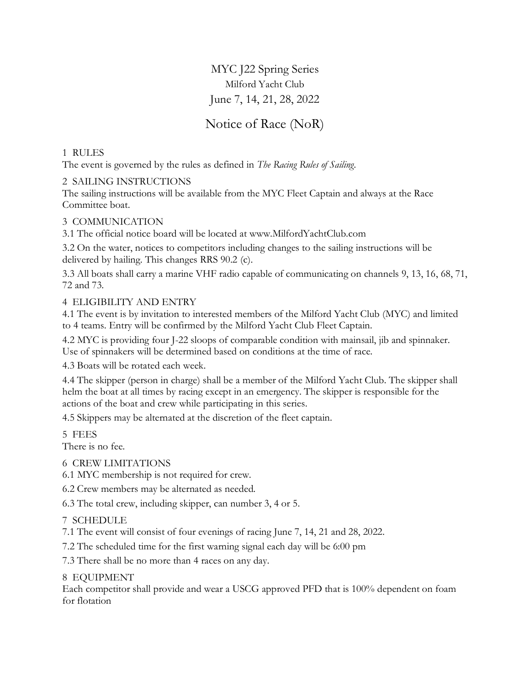MYC J22 Spring Series Milford Yacht Club June 7, 14, 21, 28, 2022

Notice of Race (NoR)

# 1 RULES

The event is governed by the rules as defined in *The Racing Rules of Sailing*.

## 2 SAILING INSTRUCTIONS

The sailing instructions will be available from the MYC Fleet Captain and always at the Race Committee boat.

## 3 COMMUNICATION

3.1 The official notice board will be located at www.MilfordYachtClub.com

3.2 On the water, notices to competitors including changes to the sailing instructions will be delivered by hailing. This changes RRS 90.2 (c).

3.3 All boats shall carry a marine VHF radio capable of communicating on channels 9, 13, 16, 68, 71, 72 and 73.

## 4 ELIGIBILITY AND ENTRY

4.1 The event is by invitation to interested members of the Milford Yacht Club (MYC) and limited to 4 teams. Entry will be confirmed by the Milford Yacht Club Fleet Captain.

4.2 MYC is providing four J-22 sloops of comparable condition with mainsail, jib and spinnaker. Use of spinnakers will be determined based on conditions at the time of race.

4.3 Boats will be rotated each week.

4.4 The skipper (person in charge) shall be a member of the Milford Yacht Club. The skipper shall helm the boat at all times by racing except in an emergency. The skipper is responsible for the actions of the boat and crew while participating in this series.

4.5 Skippers may be alternated at the discretion of the fleet captain.

5 FEES

There is no fee.

#### 6 CREW LIMITATIONS

6.1 MYC membership is not required for crew.

6.2 Crew members may be alternated as needed.

6.3 The total crew, including skipper, can number 3, 4 or 5.

7 SCHEDULE

7.1 The event will consist of four evenings of racing June 7, 14, 21 and 28, 2022.

7.2 The scheduled time for the first warning signal each day will be 6:00 pm

7.3 There shall be no more than 4 races on any day.

8 EQUIPMENT

Each competitor shall provide and wear a USCG approved PFD that is 100% dependent on foam for flotation